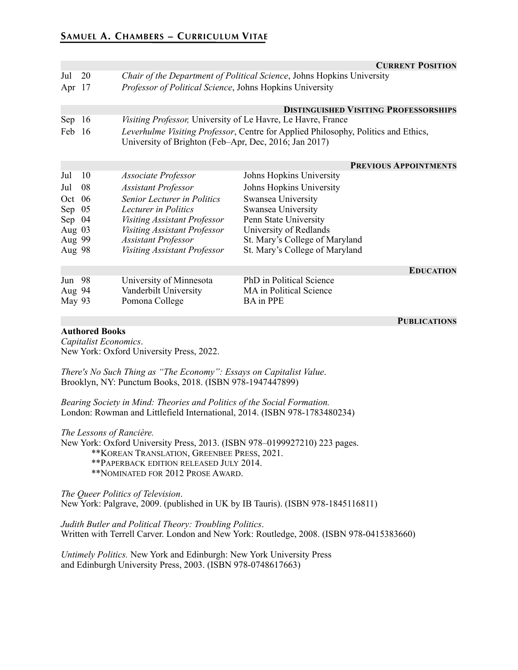|          |     |                                                                                                                                                     | <b>CURRENT POSITION</b>                      |  |
|----------|-----|-----------------------------------------------------------------------------------------------------------------------------------------------------|----------------------------------------------|--|
| Jul      | 20  | Chair of the Department of Political Science, Johns Hopkins University                                                                              |                                              |  |
| Apr $17$ |     | Professor of Political Science, Johns Hopkins University                                                                                            |                                              |  |
|          |     |                                                                                                                                                     | <b>DISTINGUISHED VISITING PROFESSORSHIPS</b> |  |
| Sep      | 16  | <i>Visiting Professor</i> , University of Le Havre, Le Havre, France                                                                                |                                              |  |
| Feb 16   |     | <i>Leverhulme Visiting Professor</i> , Centre for Applied Philosophy, Politics and Ethics,<br>University of Brighton (Feb-Apr, Dec, 2016; Jan 2017) |                                              |  |
|          |     |                                                                                                                                                     | <b>PREVIOUS APPOINTMENTS</b>                 |  |
| Jul      | 10  | Associate Professor                                                                                                                                 | Johns Hopkins University                     |  |
| Jul      | 08  | <b>Assistant Professor</b>                                                                                                                          | Johns Hopkins University                     |  |
| Oct.     | 06  | Senior Lecturer in Politics                                                                                                                         | Swansea University                           |  |
| Sep      | 05  | Lecturer in Politics                                                                                                                                | Swansea University                           |  |
| Sep      | 04  | Visiting Assistant Professor                                                                                                                        | Penn State University                        |  |
| Aug $03$ |     | Visiting Assistant Professor                                                                                                                        | University of Redlands                       |  |
| Aug 99   |     | <b>Assistant Professor</b>                                                                                                                          | St. Mary's College of Maryland               |  |
| Aug 98   |     | Visiting Assistant Professor                                                                                                                        | St. Mary's College of Maryland               |  |
|          |     |                                                                                                                                                     | <b>EDUCATION</b>                             |  |
| Jun      | -98 | University of Minnesota                                                                                                                             | PhD in Political Science                     |  |
| Aug 94   |     | Vanderbilt University                                                                                                                               | MA in Political Science                      |  |
| May 93   |     | Pomona College                                                                                                                                      | <b>BA</b> in PPE                             |  |

#### **Authored Books**

**PUBLICATIONS**

*Capitalist Economics*. New York: Oxford University Press, 2022.

*There's No Such Thing as "The Economy": Essays on Capitalist Value*. Brooklyn, NY: Punctum Books, 2018. (ISBN 978-1947447899)

*Bearing Society in Mind: Theories and Politics of the Social Formation.* London: Rowman and Littlefield International, 2014. (ISBN 978-1783480234)

*The Lessons of Rancière.*  New York: Oxford University Press, 2013. (ISBN 978–0199927210) 223 pages. \*\*KOREAN TRANSLATION, GREENBEE PRESS, 2021. \*\*PAPERBACK EDITION RELEASED JULY 2014. \*\*NOMINATED FOR 2012 PROSE AWARD.

*The Queer Politics of Television*. New York: Palgrave, 2009. (published in UK by IB Tauris). (ISBN 978-1845116811)

*Judith Butler and Political Theory: Troubling Politics*. Written with Terrell Carver. London and New York: Routledge, 2008. (ISBN 978-0415383660)

*Untimely Politics.* New York and Edinburgh: New York University Press and Edinburgh University Press, 2003. (ISBN 978-0748617663)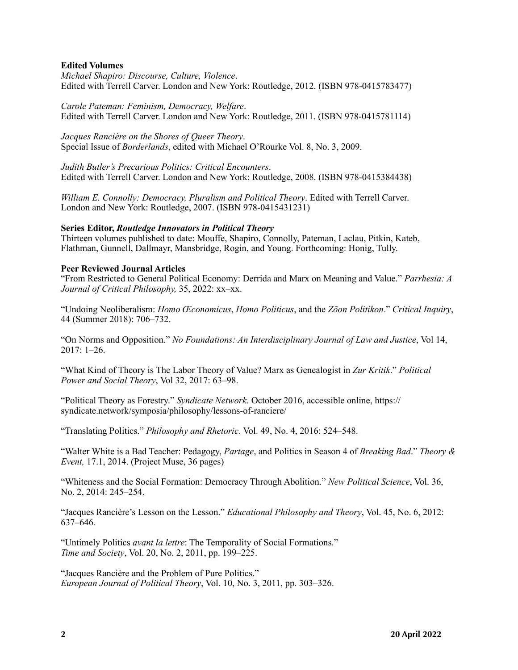#### **Edited Volumes**

*Michael Shapiro: Discourse, Culture, Violence*. Edited with Terrell Carver. London and New York: Routledge, 2012. (ISBN 978-0415783477)

*Carole Pateman: Feminism, Democracy, Welfare*. Edited with Terrell Carver. London and New York: Routledge, 2011. (ISBN 978-0415781114)

*Jacques Rancière on the Shores of Queer Theory*. Special Issue of *Borderlands*, edited with Michael O'Rourke Vol. 8, No. 3, 2009.

*Judith Butler's Precarious Politics: Critical Encounters*. Edited with Terrell Carver. London and New York: Routledge, 2008. (ISBN 978-0415384438)

*William E. Connolly: Democracy, Pluralism and Political Theory*. Edited with Terrell Carver. London and New York: Routledge, 2007. (ISBN 978-0415431231)

#### **Series Editor,** *Routledge Innovators in Political Theory*

Thirteen volumes published to date: Mouffe, Shapiro, Connolly, Pateman, Laclau, Pitkin, Kateb, Flathman, Gunnell, Dallmayr, Mansbridge, Rogin, and Young. Forthcoming: Honig, Tully.

#### **Peer Reviewed Journal Articles**

"From Restricted to General Political Economy: Derrida and Marx on Meaning and Value." *Parrhesia: A Journal of Critical Philosophy,* 35, 2022: xx–xx.

"Undoing Neoliberalism: *Homo Œconomicus*, *Homo Politicus*, and the *Zōon Politikon*." *Critical Inquiry*, 44 (Summer 2018): 706–732.

"On Norms and Opposition." *No Foundations: An Interdisciplinary Journal of Law and Justice*, Vol 14, 2017: 1–26.

"What Kind of Theory is The Labor Theory of Value? Marx as Genealogist in *Zur Kritik*." *Political Power and Social Theory*, Vol 32, 2017: 63–98.

"Political Theory as Forestry." *Syndicate Network*. October 2016, accessible online, https:// syndicate.network/symposia/philosophy/lessons-of-ranciere/

"Translating Politics." *Philosophy and Rhetoric.* Vol. 49, No. 4, 2016: 524–548.

"Walter White is a Bad Teacher: Pedagogy, *Partage*, and Politics in Season 4 of *Breaking Bad*." *Theory & Event,* 17.1, 2014. (Project Muse, 36 pages)

"Whiteness and the Social Formation: Democracy Through Abolition." *New Political Science*, Vol. 36, No. 2, 2014: 245–254.

"Jacques Rancière's Lesson on the Lesson." *Educational Philosophy and Theory*, Vol. 45, No. 6, 2012: 637–646.

"Untimely Politics *avant la lettre*: The Temporality of Social Formations." *Time and Society*, Vol. 20, No. 2, 2011, pp. 199–225.

"Jacques Rancière and the Problem of Pure Politics." *European Journal of Political Theory*, Vol. 10, No. 3, 2011, pp. 303–326.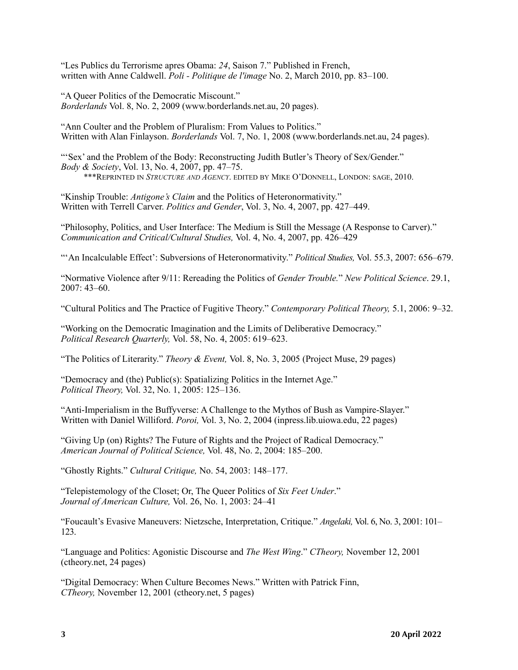"Les Publics du Terrorisme apres Obama: *24*, Saison 7." Published in French, written with Anne Caldwell. *Poli - Politique de l'image* No. 2, March 2010, pp. 83–100.

"A Queer Politics of the Democratic Miscount." *Borderlands* Vol. 8, No. 2, 2009 (www.borderlands.net.au, 20 pages).

"Ann Coulter and the Problem of Pluralism: From Values to Politics." Written with Alan Finlayson. *Borderlands* Vol. 7, No. 1, 2008 (www.borderlands.net.au, 24 pages).

"'Sex' and the Problem of the Body: Reconstructing Judith Butler's Theory of Sex/Gender." *Body & Society*, Vol. 13, No. 4, 2007, pp. 47–75. \*\*\*REPRINTED IN *STRUCTURE AND AGENCY*. EDITED BY MIKE O'DONNELL, LONDON: SAGE, 2010.

"Kinship Trouble: *Antigone's Claim* and the Politics of Heteronormativity." Written with Terrell Carver. *Politics and Gender*, Vol. 3, No. 4, 2007, pp. 427–449.

"Philosophy, Politics, and User Interface: The Medium is Still the Message (A Response to Carver)." *Communication and Critical/Cultural Studies,* Vol. 4, No. 4, 2007, pp. 426–429

"'An Incalculable Effect': Subversions of Heteronormativity." *Political Studies,* Vol. 55.3, 2007: 656–679.

"Normative Violence after 9/11: Rereading the Politics of *Gender Trouble.*" *New Political Science*. 29.1, 2007: 43–60.

"Cultural Politics and The Practice of Fugitive Theory." *Contemporary Political Theory,* 5.1, 2006: 9–32.

"Working on the Democratic Imagination and the Limits of Deliberative Democracy." *Political Research Quarterly,* Vol. 58, No. 4, 2005: 619–623.

"The Politics of Literarity." *Theory & Event,* Vol. 8, No. 3, 2005 (Project Muse, 29 pages)

"Democracy and (the) Public(s): Spatializing Politics in the Internet Age." *Political Theory,* Vol. 32, No. 1, 2005: 125–136.

"Anti-Imperialism in the Buffyverse: A Challenge to the Mythos of Bush as Vampire-Slayer." Written with Daniel Williford. *Poroi,* Vol. 3, No. 2, 2004 (inpress.lib.uiowa.edu, 22 pages)

"Giving Up (on) Rights? The Future of Rights and the Project of Radical Democracy." *American Journal of Political Science,* Vol. 48, No. 2, 2004: 185–200.

"Ghostly Rights." *Cultural Critique,* No. 54, 2003: 148–177.

"Telepistemology of the Closet; Or, The Queer Politics of *Six Feet Under*." *Journal of American Culture,* Vol. 26, No. 1, 2003: 24–41

"Foucault's Evasive Maneuvers: Nietzsche, Interpretation, Critique." *Angelaki,* Vol. 6, No. 3, 2001: 101– 123.

"Language and Politics: Agonistic Discourse and *The West Wing*." *CTheory,* November 12, 2001 (ctheory.net, 24 pages)

"Digital Democracy: When Culture Becomes News." Written with Patrick Finn, *CTheory,* November 12, 2001 (ctheory.net, 5 pages)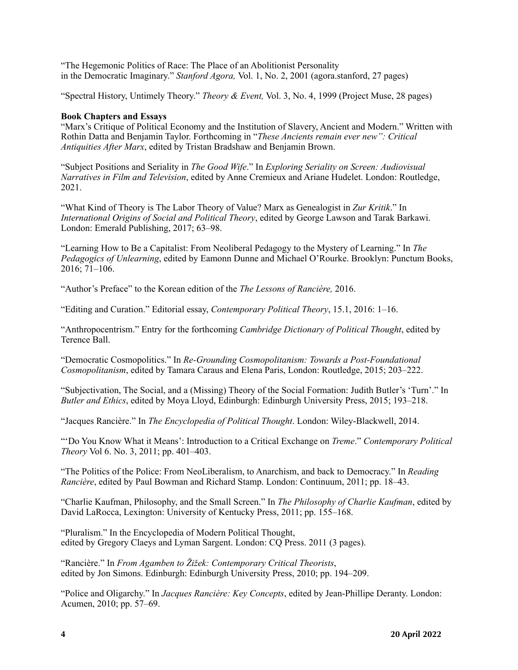"The Hegemonic Politics of Race: The Place of an Abolitionist Personality in the Democratic Imaginary." *Stanford Agora,* Vol. 1, No. 2, 2001 (agora.stanford, 27 pages)

"Spectral History, Untimely Theory." *Theory & Event,* Vol. 3, No. 4, 1999 (Project Muse, 28 pages)

### **Book Chapters and Essays**

"Marx's Critique of Political Economy and the Institution of Slavery, Ancient and Modern." Written with Rothin Datta and Benjamin Taylor. Forthcoming in "*These Ancients remain ever new": Critical Antiquities After Marx*, edited by Tristan Bradshaw and Benjamin Brown.

"Subject Positions and Seriality in *The Good Wife*." In *Exploring Seriality on Screen: Audiovisual Narratives in Film and Television*, edited by Anne Cremieux and Ariane Hudelet. London: Routledge, 2021.

"What Kind of Theory is The Labor Theory of Value? Marx as Genealogist in *Zur Kritik*." In *International Origins of Social and Political Theory*, edited by George Lawson and Tarak Barkawi. London: Emerald Publishing, 2017; 63–98.

"Learning How to Be a Capitalist: From Neoliberal Pedagogy to the Mystery of Learning." In *The Pedagogics of Unlearning*, edited by Eamonn Dunne and Michael O'Rourke. Brooklyn: Punctum Books, 2016; 71–106.

"Author's Preface" to the Korean edition of the *The Lessons of Rancière,* 2016.

"Editing and Curation." Editorial essay, *Contemporary Political Theory*, 15.1, 2016: 1–16.

"Anthropocentrism." Entry for the forthcoming *Cambridge Dictionary of Political Thought*, edited by Terence Ball.

"Democratic Cosmopolitics." In *Re-Grounding Cosmopolitanism: Towards a Post-Foundational Cosmopolitanism*, edited by Tamara Caraus and Elena Paris, London: Routledge, 2015; 203–222.

"Subjectivation, The Social, and a (Missing) Theory of the Social Formation: Judith Butler's 'Turn'." In *Butler and Ethics*, edited by Moya Lloyd, Edinburgh: Edinburgh University Press, 2015; 193–218.

"Jacques Rancière." In *The Encyclopedia of Political Thought*. London: Wiley-Blackwell, 2014.

"'Do You Know What it Means': Introduction to a Critical Exchange on *Treme*." *Contemporary Political Theory* Vol 6. No. 3, 2011; pp. 401–403.

"The Politics of the Police: From NeoLiberalism, to Anarchism, and back to Democracy." In *Reading Rancière*, edited by Paul Bowman and Richard Stamp. London: Continuum, 2011; pp. 18–43.

"Charlie Kaufman, Philosophy, and the Small Screen." In *The Philosophy of Charlie Kaufman*, edited by David LaRocca, Lexington: University of Kentucky Press, 2011; pp. 155–168.

"Pluralism." In the Encyclopedia of Modern Political Thought, edited by Gregory Claeys and Lyman Sargent. London: CQ Press. 2011 (3 pages).

"Rancière." In *From Agamben to Žižek: Contemporary Critical Theorists*, edited by Jon Simons. Edinburgh: Edinburgh University Press, 2010; pp. 194–209.

"Police and Oligarchy." In *Jacques Rancière: Key Concepts*, edited by Jean-Phillipe Deranty. London: Acumen, 2010; pp. 57–69.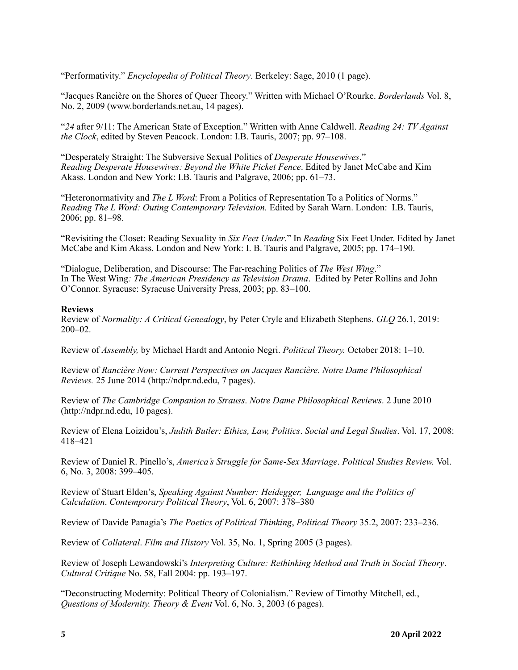"Performativity." *Encyclopedia of Political Theory*. Berkeley: Sage, 2010 (1 page).

"Jacques Rancière on the Shores of Queer Theory." Written with Michael O'Rourke. *Borderlands* Vol. 8, No. 2, 2009 (www.borderlands.net.au, 14 pages).

"*24* after 9/11: The American State of Exception." Written with Anne Caldwell. *Reading 24: TV Against the Clock*, edited by Steven Peacock. London: I.B. Tauris, 2007; pp. 97–108.

"Desperately Straight: The Subversive Sexual Politics of *Desperate Housewives*." *Reading Desperate Housewives: Beyond the White Picket Fence*. Edited by Janet McCabe and Kim Akass. London and New York: I.B. Tauris and Palgrave, 2006; pp. 61–73.

"Heteronormativity and *The L Word*: From a Politics of Representation To a Politics of Norms." *Reading The L Word: Outing Contemporary Television.* Edited by Sarah Warn. London: I.B. Tauris, 2006; pp. 81–98.

"Revisiting the Closet: Reading Sexuality in *Six Feet Under*." In *Reading* Six Feet Under. Edited by Janet McCabe and Kim Akass. London and New York: I. B. Tauris and Palgrave, 2005; pp. 174–190.

"Dialogue, Deliberation, and Discourse: The Far-reaching Politics of *The West Wing*." In The West Wing*: The American Presidency as Television Drama*. Edited by Peter Rollins and John O'Connor. Syracuse: Syracuse University Press, 2003; pp. 83–100.

#### **Reviews**

Review of *Normality: A Critical Genealogy*, by Peter Cryle and Elizabeth Stephens. *GLQ* 26.1, 2019: 200–02.

Review of *Assembly,* by Michael Hardt and Antonio Negri. *Political Theory.* October 2018: 1–10.

Review of *Rancière Now: Current Perspectives on Jacques Rancière*. *Notre Dame Philosophical Reviews.* 25 June 2014 (http://ndpr.nd.edu, 7 pages).

Review of *The Cambridge Companion to Strauss*. *Notre Dame Philosophical Reviews*. 2 June 2010 (http://ndpr.nd.edu, 10 pages).

Review of Elena Loizidou's, *Judith Butler: Ethics, Law, Politics*. *Social and Legal Studies*. Vol. 17, 2008: 418–421

Review of Daniel R. Pinello's, *America's Struggle for Same-Sex Marriage*. *Political Studies Review.* Vol. 6, No. 3, 2008: 399–405.

Review of Stuart Elden's, *Speaking Against Number: Heidegger, Language and the Politics of Calculation*. *Contemporary Political Theory*, Vol. 6, 2007: 378–380

Review of Davide Panagia's *The Poetics of Political Thinking*, *Political Theory* 35.2, 2007: 233–236.

Review of *Collateral*. *Film and History* Vol. 35, No. 1, Spring 2005 (3 pages).

Review of Joseph Lewandowski's *Interpreting Culture: Rethinking Method and Truth in Social Theory*. *Cultural Critique* No. 58, Fall 2004: pp. 193–197.

"Deconstructing Modernity: Political Theory of Colonialism." Review of Timothy Mitchell, ed., *Questions of Modernity. Theory & Event* Vol. 6, No. 3, 2003 (6 pages).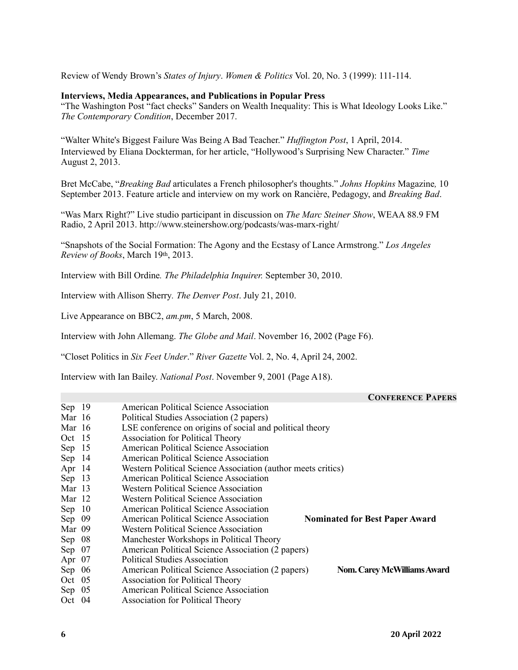Review of Wendy Brown's *States of Injury*. *Women & Politics* Vol. 20, No. 3 (1999): 111-114.

#### **Interviews, Media Appearances, and Publications in Popular Press**

"The Washington Post "fact checks" Sanders on Wealth Inequality: This is What Ideology Looks Like." *The Contemporary Condition*, December 2017.

"Walter White's Biggest Failure Was Being A Bad Teacher." *Huffington Post*, 1 April, 2014. Interviewed by Eliana Dockterman, for her article, "Hollywood's Surprising New Character." *Time* August 2, 2013.

Bret McCabe, "*Breaking Bad* articulates a French philosopher's thoughts." *Johns Hopkins* Magazine*,* 10 September 2013. Feature article and interview on my work on Rancière, Pedagogy, and *Breaking Bad*.

"Was Marx Right?" Live studio participant in discussion on *The Marc Steiner Show*, WEAA 88.9 FM Radio, 2 April 2013. http://www.steinershow.org/podcasts/was-marx-right/

"Snapshots of the Social Formation: The Agony and the Ecstasy of Lance Armstrong." *Los Angeles Review of Books*, March 19th, 2013.

Interview with Bill Ordine*. The Philadelphia Inquirer.* September 30, 2010.

Interview with Allison Sherry*. The Denver Post*. July 21, 2010.

Live Appearance on BBC2, *am.pm*, 5 March, 2008.

Interview with John Allemang. *The Globe and Mail*. November 16, 2002 (Page F6).

"Closet Politics in *Six Feet Under*." *River Gazette* Vol. 2, No. 4, April 24, 2002.

Interview with Ian Bailey. *National Post*. November 9, 2001 (Page A18).

#### **CONFERENCE PAPERS**

|          | $\sim$ 0.11 DRD.10 D 1 m DI                                                             |
|----------|-----------------------------------------------------------------------------------------|
| Sep $19$ | American Political Science Association                                                  |
| Mar 16   | Political Studies Association (2 papers)                                                |
| Mar 16   | LSE conference on origins of social and political theory                                |
| Oct 15   | <b>Association for Political Theory</b>                                                 |
| Sep $15$ | American Political Science Association                                                  |
| Sep $14$ | American Political Science Association                                                  |
| Apr 14   | Western Political Science Association (author meets critics)                            |
| Sep $13$ | American Political Science Association                                                  |
| Mar 13   | <b>Western Political Science Association</b>                                            |
| Mar 12   | Western Political Science Association                                                   |
| Sep $10$ | American Political Science Association                                                  |
| Sep 09   | American Political Science Association<br><b>Nominated for Best Paper Award</b>         |
| Mar 09   | Western Political Science Association                                                   |
| Sep $08$ | Manchester Workshops in Political Theory                                                |
| Sep $07$ | American Political Science Association (2 papers)                                       |
| Apr 07   | <b>Political Studies Association</b>                                                    |
| Sep $06$ | American Political Science Association (2 papers)<br><b>Nom. Carey McWilliams Award</b> |
| Oct $05$ | <b>Association for Political Theory</b>                                                 |
| Sep $05$ | American Political Science Association                                                  |
|          |                                                                                         |

Oct 04 Association for Political Theory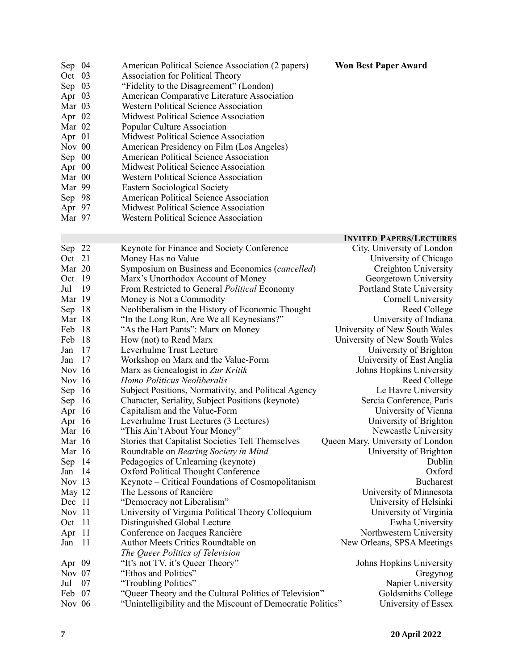| Sep $04$ | American Political Science Association (2 papers) |
|----------|---------------------------------------------------|
| Oct 03   | <b>Association for Political Theory</b>           |
| Sep $03$ | "Fidelity to the Disagreement" (London)           |
| Apr $03$ | American Comparative Literature Association       |
| Mar $03$ | <b>Western Political Science Association</b>      |
| Apr $02$ | Midwest Political Science Association             |
| Mar $02$ | Popular Culture Association                       |
| Apr $01$ | Midwest Political Science Association             |
| Nov 00   | American Presidency on Film (Los Angeles)         |
| Sep 00   | American Political Science Association            |
| Apr $00$ | Midwest Political Science Association             |

- Mar 00 Western Political Science Association<br>Mar 99 Eastern Sociological Society
- Mar 99 Eastern Sociological Society
- Sep 98 American Political Science Association Rep 98 American Political Science Association<br>
Apr 97 Midwest Political Science Association<br>
Mar 97 Western Political Science Association
- 
- Western Political Science Association

#### **INVITED PAPERS/LECTURES**

**Won Best Paper Award** 

| Sep 22   |     | Keynote for Finance and Society Conference                  | City, University of London       |
|----------|-----|-------------------------------------------------------------|----------------------------------|
| Oct 21   |     | Money Has no Value                                          | University of Chicago            |
| Mar 20   |     | Symposium on Business and Economics (cancelled)             | Creighton University             |
| Oct 19   |     | Marx's Unorthodox Account of Money                          | Georgetown University            |
| Jul      | -19 | From Restricted to General <i>Political</i> Economy         | Portland State University        |
| Mar 19   |     | Money is Not a Commodity                                    | Cornell University               |
| Sep      | 18  | Neoliberalism in the History of Economic Thought            | Reed College                     |
| Mar 18   |     | "In the Long Run, Are We all Keynesians?"                   | University of Indiana            |
| Feb      | 18  | "As the Hart Pants": Marx on Money                          | University of New South Wales    |
| Feb      | 18  | How (not) to Read Marx                                      | University of New South Wales    |
| Jan      | 17  | Leverhulme Trust Lecture                                    | University of Brighton           |
| Jan      | 17  | Workshop on Marx and the Value-Form                         | University of East Anglia        |
| Nov 16   |     | Marx as Genealogist in Zur Kritik                           | Johns Hopkins University         |
| Nov 16   |     | Homo Politicus Neoliberalis                                 | Reed College                     |
| Sep 16   |     | Subject Positions, Normativity, and Political Agency        | Le Havre University              |
| Sep $16$ |     | Character, Seriality, Subject Positions (keynote)           | Sercia Conference, Paris         |
| Apr 16   |     | Capitalism and the Value-Form                               | University of Vienna             |
| Apr 16   |     | Leverhulme Trust Lectures (3 Lectures)                      | University of Brighton           |
| Mar 16   |     | "This Ain't About Your Money"                               | Newcastle University             |
| Mar 16   |     | Stories that Capitalist Societies Tell Themselves           | Queen Mary, University of London |
| Mar 16   |     | Roundtable on Bearing Society in Mind                       | University of Brighton           |
| Sep $14$ |     | Pedagogics of Unlearning (keynote)                          | Dublin                           |
| Jan 14   |     | <b>Oxford Political Thought Conference</b>                  | Oxford                           |
| Nov 13   |     | Keynote – Critical Foundations of Cosmopolitanism           | <b>Bucharest</b>                 |
| May 12   |     | The Lessons of Rancière                                     | University of Minnesota          |
| Dec 11   |     | "Democracy not Liberalism"                                  | University of Helsinki           |
| Nov 11   |     | University of Virginia Political Theory Colloquium          | University of Virginia           |
| Oct      | -11 | Distinguished Global Lecture                                | Ewha University                  |
| Apr      | -11 | Conference on Jacques Rancière                              | Northwestern University          |
| Jan      | -11 | Author Meets Critics Roundtable on                          | New Orleans, SPSA Meetings       |
|          |     | The Queer Politics of Television                            |                                  |
| Apr 09   |     | "It's not TV, it's Queer Theory"                            | Johns Hopkins University         |
| Nov 07   |     | "Ethos and Politics"                                        | Gregynog                         |
| Jul      | 07  | "Troubling Politics"                                        | Napier University                |
| Feb 07   |     | "Queer Theory and the Cultural Politics of Television"      | Goldsmiths College               |
| Nov 06   |     | "Unintelligibility and the Miscount of Democratic Politics" | University of Essex              |
|          |     |                                                             |                                  |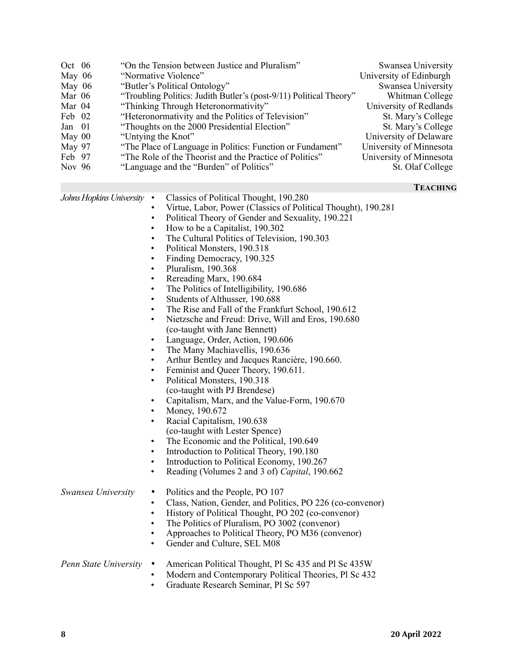| Oct 06<br>May 06<br>May $06$<br>Mar 06<br>Mar 04<br>Feb 02<br>Jan 01<br>May 00<br>May 97<br>Feb 97<br>Nov 96 | "On the Tension between Justice and Pluralism"<br>"Normative Violence"<br>"Butler's Political Ontology"<br>"Troubling Politics: Judith Butler's (post-9/11) Political Theory"<br>"Thinking Through Heteronormativity"<br>"Heteronormativity and the Politics of Television"<br>"Thoughts on the 2000 Presidential Election"<br>"Untying the Knot"<br>"The Place of Language in Politics: Function or Fundament"<br>"The Role of the Theorist and the Practice of Politics"<br>"Language and the "Burden" of Politics" | Swansea University<br>University of Edinburgh<br>Swansea University<br>Whitman College<br>University of Redlands<br>St. Mary's College<br>St. Mary's College<br>University of Delaware<br>University of Minnesota<br>University of Minnesota<br>St. Olaf College                                                                                                                                                                                                                                                                                                                                                                                                                                                                                                                                                                                                                                                                                                                                                                                 |                 |
|--------------------------------------------------------------------------------------------------------------|-----------------------------------------------------------------------------------------------------------------------------------------------------------------------------------------------------------------------------------------------------------------------------------------------------------------------------------------------------------------------------------------------------------------------------------------------------------------------------------------------------------------------|--------------------------------------------------------------------------------------------------------------------------------------------------------------------------------------------------------------------------------------------------------------------------------------------------------------------------------------------------------------------------------------------------------------------------------------------------------------------------------------------------------------------------------------------------------------------------------------------------------------------------------------------------------------------------------------------------------------------------------------------------------------------------------------------------------------------------------------------------------------------------------------------------------------------------------------------------------------------------------------------------------------------------------------------------|-----------------|
|                                                                                                              |                                                                                                                                                                                                                                                                                                                                                                                                                                                                                                                       |                                                                                                                                                                                                                                                                                                                                                                                                                                                                                                                                                                                                                                                                                                                                                                                                                                                                                                                                                                                                                                                  | <b>TEACHING</b> |
| Johns Hopkins University                                                                                     | $\bullet$<br>$\bullet$<br>$\bullet$<br>$\bullet$<br>$\bullet$<br>$\bullet$<br>$\bullet$<br>$\bullet$<br>$\bullet$<br>$\bullet$<br>$\bullet$<br>$\bullet$<br>$\bullet$<br>$\bullet$<br>$\bullet$<br>$\bullet$<br>$\bullet$<br>$\bullet$<br>$\bullet$<br>$\bullet$<br>$\bullet$<br>$\bullet$                                                                                                                                                                                                                            | Classics of Political Thought, 190.280<br>Virtue, Labor, Power (Classics of Political Thought), 190.281<br>Political Theory of Gender and Sexuality, 190.221<br>How to be a Capitalist, 190.302<br>The Cultural Politics of Television, 190.303<br>Political Monsters, 190.318<br>Finding Democracy, 190.325<br>Pluralism, 190.368<br>Rereading Marx, 190.684<br>The Politics of Intelligibility, 190.686<br>Students of Althusser, 190.688<br>The Rise and Fall of the Frankfurt School, 190.612<br>Nietzsche and Freud: Drive, Will and Eros, 190.680<br>(co-taught with Jane Bennett)<br>Language, Order, Action, 190.606<br>The Many Machiavellis, 190.636<br>Arthur Bentley and Jacques Rancière, 190.660.<br>Feminist and Queer Theory, 190.611.<br>Political Monsters, 190.318<br>(co-taught with PJ Brendese)<br>Capitalism, Marx, and the Value-Form, 190.670<br>Money, 190.672<br>Racial Capitalism, 190.638<br>(co-taught with Lester Spence)<br>The Economic and the Political, 190.649<br>Introduction to Political Theory, 190.180 |                 |

- Introduction to Political Economy, 190.267
- Reading (Volumes 2 and 3 of) *Capital*, 190.662

| Swansea University | $\bullet$ .<br>$\bullet$<br>$\bullet$ | • Politics and the People, PO 107<br>Class, Nation, Gender, and Politics, PO 226 (co-convenor)<br>History of Political Thought, PO 202 (co-convenor)<br>• The Politics of Pluralism, PO 3002 (convenor)<br>Approaches to Political Theory, PO M36 (convenor)<br>• Gender and Culture, SEL M08 |
|--------------------|---------------------------------------|-----------------------------------------------------------------------------------------------------------------------------------------------------------------------------------------------------------------------------------------------------------------------------------------------|
|                    |                                       | <i>Penn State University</i> • American Political Thought. Pl Sc 435 and Pl Sc 435W                                                                                                                                                                                                           |

## *Penn State University* • American Political Thought, Pl Sc 435 and Pl Sc 435W

- Modern and Contemporary Political Theories, Pl Sc 432
- Graduate Research Seminar, Pl Sc 597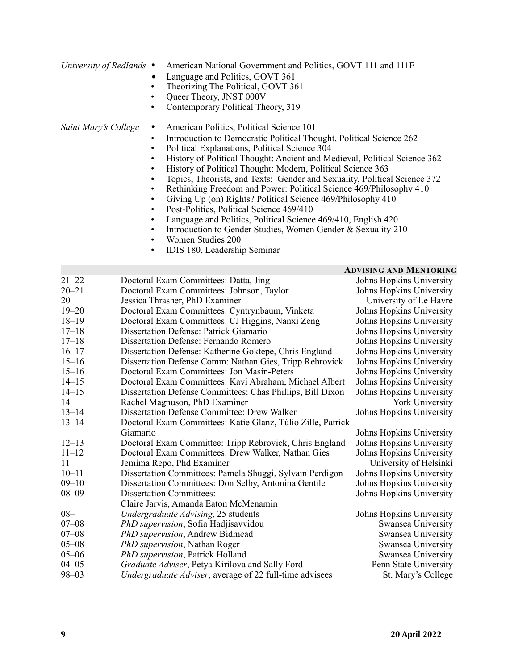- *University of Redlands* American National Government and Politics, GOVT 111 and 111E
	- Language and Politics, GOVT 361
	- Theorizing The Political, GOVT 361
	- Queer Theory, JNST 000V<br>• Contemporary Political The
	- Contemporary Political Theory, 319

*Saint Mary's College* • American Politics, Political Science 101

- Introduction to Democratic Political Thought, Political Science 262
- Political Explanations, Political Science 304
- History of Political Thought: Ancient and Medieval, Political Science 362
- History of Political Thought: Modern, Political Science 363
- Topics, Theorists, and Texts: Gender and Sexuality, Political Science 372
- Rethinking Freedom and Power: Political Science 469/Philosophy 410
- Giving Up (on) Rights? Political Science 469/Philosophy 410
- Post-Politics, Political Science 469/410
- Language and Politics, Political Science 469/410, English 420
- Introduction to Gender Studies, Women Gender & Sexuality 210
- Women Studies 200
- IDIS 180, Leadership Seminar

#### **ADVISING AND MENTORING**

| $21 - 22$ | Doctoral Exam Committees: Datta, Jing                       | Johns Hopkins University |
|-----------|-------------------------------------------------------------|--------------------------|
| $20 - 21$ | Doctoral Exam Committees: Johnson, Taylor                   | Johns Hopkins University |
| 20        | Jessica Thrasher, PhD Examiner                              | University of Le Havre   |
| $19 - 20$ | Doctoral Exam Committees: Cyntrynbaum, Vinketa              | Johns Hopkins University |
| $18 - 19$ | Doctoral Exam Committees: CJ Higgins, Nanxi Zeng            | Johns Hopkins University |
| $17 - 18$ | Dissertation Defense: Patrick Giamario                      | Johns Hopkins University |
| $17 - 18$ | Dissertation Defense: Fernando Romero                       | Johns Hopkins University |
| $16 - 17$ | Dissertation Defense: Katherine Goktepe, Chris England      | Johns Hopkins University |
| $15 - 16$ | Dissertation Defense Comm: Nathan Gies, Tripp Rebrovick     | Johns Hopkins University |
| $15 - 16$ | Doctoral Exam Committees: Jon Masin-Peters                  | Johns Hopkins University |
| $14 - 15$ | Doctoral Exam Committees: Kavi Abraham, Michael Albert      | Johns Hopkins University |
| $14 - 15$ | Dissertation Defense Committees: Chas Phillips, Bill Dixon  | Johns Hopkins University |
| 14        | Rachel Magnuson, PhD Examiner                               | York University          |
| $13 - 14$ | Dissertation Defense Committee: Drew Walker                 | Johns Hopkins University |
| $13 - 14$ | Doctoral Exam Committees: Katie Glanz, Túlio Zille, Patrick |                          |
|           | Giamario                                                    | Johns Hopkins University |
| $12 - 13$ | Doctoral Exam Committee: Tripp Rebrovick, Chris England     | Johns Hopkins University |
| $11 - 12$ | Doctoral Exam Committees: Drew Walker, Nathan Gies          | Johns Hopkins University |
| 11        | Jemima Repo, Phd Examiner                                   | University of Helsinki   |
| $10 - 11$ | Dissertation Committees: Pamela Shuggi, Sylvain Perdigon    | Johns Hopkins University |
| $09 - 10$ | Dissertation Committees: Don Selby, Antonina Gentile        | Johns Hopkins University |
| $08 - 09$ | <b>Dissertation Committees:</b>                             | Johns Hopkins University |
|           | Claire Jarvis, Amanda Eaton McMenamin                       |                          |
| $08 -$    | Undergraduate Advising, 25 students                         | Johns Hopkins University |
| $07 - 08$ | PhD supervision, Sofia Hadjisavvidou                        | Swansea University       |
| $07 - 08$ | <b>PhD</b> supervision, Andrew Bidmead                      | Swansea University       |
| $05 - 08$ | <b>PhD</b> supervision, Nathan Roger                        | Swansea University       |
| $05 - 06$ | PhD supervision, Patrick Holland                            | Swansea University       |
| $04 - 05$ | Graduate Adviser, Petya Kirilova and Sally Ford             | Penn State University    |
| $98 - 03$ | Undergraduate Adviser, average of 22 full-time advisees     | St. Mary's College       |
|           |                                                             |                          |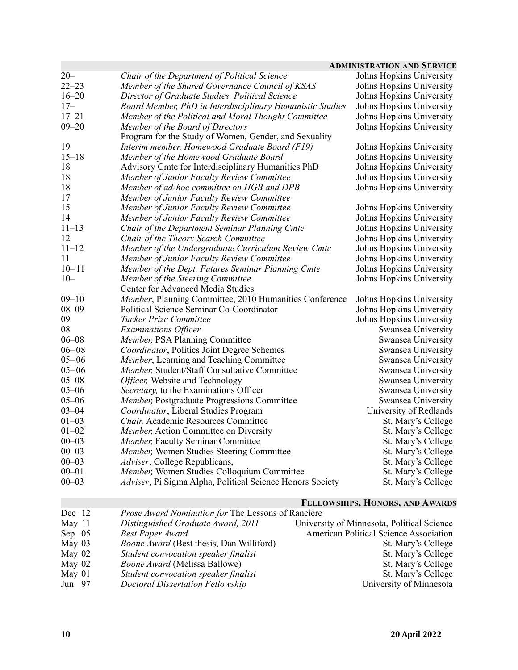|           |                                                           | <b>ADMINISTRATION AND SERVICE</b> |
|-----------|-----------------------------------------------------------|-----------------------------------|
| $20 -$    | Chair of the Department of Political Science              | Johns Hopkins University          |
| $22 - 23$ | Member of the Shared Governance Council of KSAS           | Johns Hopkins University          |
| $16 - 20$ | Director of Graduate Studies, Political Science           | Johns Hopkins University          |
| $17-$     | Board Member, PhD in Interdisciplinary Humanistic Studies | Johns Hopkins University          |
| $17 - 21$ | Member of the Political and Moral Thought Committee       | Johns Hopkins University          |
| $09 - 20$ | Member of the Board of Directors                          | Johns Hopkins University          |
|           | Program for the Study of Women, Gender, and Sexuality     |                                   |
| 19        | Interim member, Homewood Graduate Board (F19)             | Johns Hopkins University          |
| $15 - 18$ | Member of the Homewood Graduate Board                     | Johns Hopkins University          |
| 18        | Advisory Cmte for Interdisciplinary Humanities PhD        | Johns Hopkins University          |
| 18        | Member of Junior Faculty Review Committee                 | Johns Hopkins University          |
| 18        | Member of ad-hoc committee on HGB and DPB                 | Johns Hopkins University          |
| 17        | Member of Junior Faculty Review Committee                 |                                   |
| 15        | Member of Junior Faculty Review Committee                 | Johns Hopkins University          |
| 14        | Member of Junior Faculty Review Committee                 | Johns Hopkins University          |
| $11 - 13$ | Chair of the Department Seminar Planning Cmte             | Johns Hopkins University          |
| 12        | Chair of the Theory Search Committee                      | Johns Hopkins University          |
| $11 - 12$ | Member of the Undergraduate Curriculum Review Cmte        | Johns Hopkins University          |
| 11        | Member of Junior Faculty Review Committee                 | Johns Hopkins University          |
| $10 - 11$ | Member of the Dept. Futures Seminar Planning Cmte         | Johns Hopkins University          |
| $10 -$    | Member of the Steering Committee                          | Johns Hopkins University          |
|           | Center for Advanced Media Studies                         |                                   |
| $09 - 10$ | Member, Planning Committee, 2010 Humanities Conference    | Johns Hopkins University          |
| $08 - 09$ | Political Science Seminar Co-Coordinator                  | Johns Hopkins University          |
| 09        | Tucker Prize Committee                                    | Johns Hopkins University          |
| 08        | <b>Examinations Officer</b>                               | Swansea University                |
| $06 - 08$ | Member, PSA Planning Committee                            | Swansea University                |
| $06 - 08$ | Coordinator, Politics Joint Degree Schemes                | Swansea University                |
| $05 - 06$ | <i>Member</i> , Learning and Teaching Committee           | Swansea University                |
| $05 - 06$ | Member, Student/Staff Consultative Committee              | Swansea University                |
| $05 - 08$ | Officer, Website and Technology                           | Swansea University                |
| $05 - 06$ | Secretary, to the Examinations Officer                    | Swansea University                |
| $05 - 06$ | Member, Postgraduate Progressions Committee               | Swansea University                |
| $03 - 04$ | Coordinator, Liberal Studies Program                      | University of Redlands            |
| $01 - 03$ | Chair, Academic Resources Committee                       | St. Mary's College                |
| $01 - 02$ | Member, Action Committee on Diversity                     | St. Mary's College                |
| $00 - 03$ | Member, Faculty Seminar Committee                         | St. Mary's College                |
| $00 - 03$ | Member, Women Studies Steering Committee                  | St. Mary's College                |
| $00 - 03$ | Adviser, College Republicans,                             | St. Mary's College                |
| $00 - 01$ | Member, Women Studies Colloquium Committee                | St. Mary's College                |
| $00 - 03$ | Adviser, Pi Sigma Alpha, Political Science Honors Society | St. Mary's College                |

# **FELLOWSHIPS, HONORS, AND AWARDS**

| Dec 12   | Prose Award Nomination for The Lessons of Rancière |                                            |
|----------|----------------------------------------------------|--------------------------------------------|
| May 11   | Distinguished Graduate Award, 2011                 | University of Minnesota, Political Science |
| Sep $05$ | <b>Best Paper Award</b>                            | American Political Science Association     |
| May $03$ | Boone Award (Best thesis, Dan Williford)           | St. Mary's College                         |
| May 02   | Student convocation speaker finalist               | St. Mary's College                         |
| May 02   | <i>Boone Award</i> (Melissa Ballowe)               | St. Mary's College                         |
| May 01   | Student convocation speaker finalist               | St. Mary's College                         |
| Jun 97   | Doctoral Dissertation Fellowship                   | University of Minnesota                    |
|          |                                                    |                                            |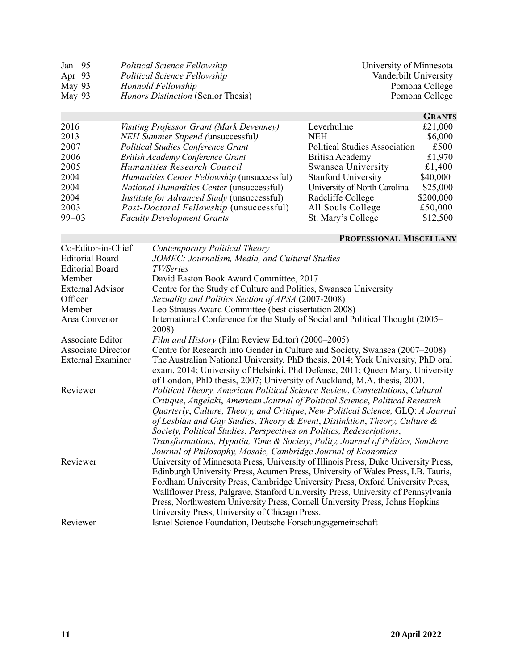| Jan $95$ | <b>Political Science Fellowship</b>       | University of Minnesota |
|----------|-------------------------------------------|-------------------------|
| Apr $93$ | <b>Political Science Fellowship</b>       | Vanderbilt University   |
| May 93   | Honnold Fellowship                        | Pomona College          |
| May 93   | <i>Honors Distinction</i> (Senior Thesis) | Pomona College          |
|          |                                           |                         |

|           |                                                    |                                      | <b>GRANTS</b> |
|-----------|----------------------------------------------------|--------------------------------------|---------------|
| 2016      | Visiting Professor Grant (Mark Devenney)           | Leverhulme                           | £21,000       |
| 2013      | <b>NEH Summer Stipend (unsuccessful)</b>           | NEH                                  | \$6,000       |
| 2007      | <b>Political Studies Conference Grant</b>          | <b>Political Studies Association</b> | £500          |
| 2006      | <b>British Academy Conference Grant</b>            | <b>British Academy</b>               | £1,970        |
| 2005      | Humanities Research Council                        | Swansea University                   | £1,400        |
| 2004      | Humanities Center Fellowship (unsuccessful)        | <b>Stanford University</b>           | \$40,000      |
| 2004      | National Humanities Center (unsuccessful)          | University of North Carolina         | \$25,000      |
| 2004      | <i>Institute for Advanced Study</i> (unsuccessful) | Radcliffe College                    | \$200,000     |
| 2003      | Post-Doctoral Fellowship (unsuccessful)            | All Souls College                    | £50,000       |
| $99 - 03$ | <b>Faculty Development Grants</b>                  | St. Mary's College                   | \$12,500      |

### **PROFESSIONAL MISCELLANY**

|                           | PROFESSIONAL MISCELLANY                                                                |
|---------------------------|----------------------------------------------------------------------------------------|
| Co-Editor-in-Chief        | Contemporary Political Theory                                                          |
| <b>Editorial Board</b>    | JOMEC: Journalism, Media, and Cultural Studies                                         |
| <b>Editorial Board</b>    | <i>TV</i> /Series                                                                      |
| Member                    | David Easton Book Award Committee, 2017                                                |
| <b>External Advisor</b>   | Centre for the Study of Culture and Politics, Swansea University                       |
| Officer                   | Sexuality and Politics Section of APSA (2007-2008)                                     |
| Member                    | Leo Strauss Award Committee (best dissertation 2008)                                   |
| Area Convenor             | International Conference for the Study of Social and Political Thought (2005–<br>2008) |
| Associate Editor          | Film and History (Film Review Editor) (2000–2005)                                      |
| <b>Associate Director</b> | Centre for Research into Gender in Culture and Society, Swansea (2007–2008)            |
| <b>External Examiner</b>  | The Australian National University, PhD thesis, 2014; York University, PhD oral        |
|                           | exam, 2014; University of Helsinki, Phd Defense, 2011; Queen Mary, University          |
|                           | of London, PhD thesis, 2007; University of Auckland, M.A. thesis, 2001.                |
| Reviewer                  | Political Theory, American Political Science Review, Constellations, Cultural          |
|                           | Critique, Angelaki, American Journal of Political Science, Political Research          |
|                           | Quarterly, Culture, Theory, and Critique, New Political Science, GLQ: A Journal        |
|                           | of Lesbian and Gay Studies, Theory & Event, Distinktion, Theory, Culture &             |
|                           | Society, Political Studies, Perspectives on Politics, Redescriptions,                  |
|                           | Transformations, Hypatia, Time & Society, Polity, Journal of Politics, Southern        |
|                           | Journal of Philosophy, Mosaic, Cambridge Journal of Economics                          |
| Reviewer                  | University of Minnesota Press, University of Illinois Press, Duke University Press,    |
|                           | Edinburgh University Press, Acumen Press, University of Wales Press, I.B. Tauris,      |
|                           | Fordham University Press, Cambridge University Press, Oxford University Press,         |
|                           | Wallflower Press, Palgrave, Stanford University Press, University of Pennsylvania      |
|                           | Press, Northwestern University Press, Cornell University Press, Johns Hopkins          |
|                           | University Press, University of Chicago Press.                                         |
| Reviewer                  | Israel Science Foundation, Deutsche Forschungsgemeinschaft                             |